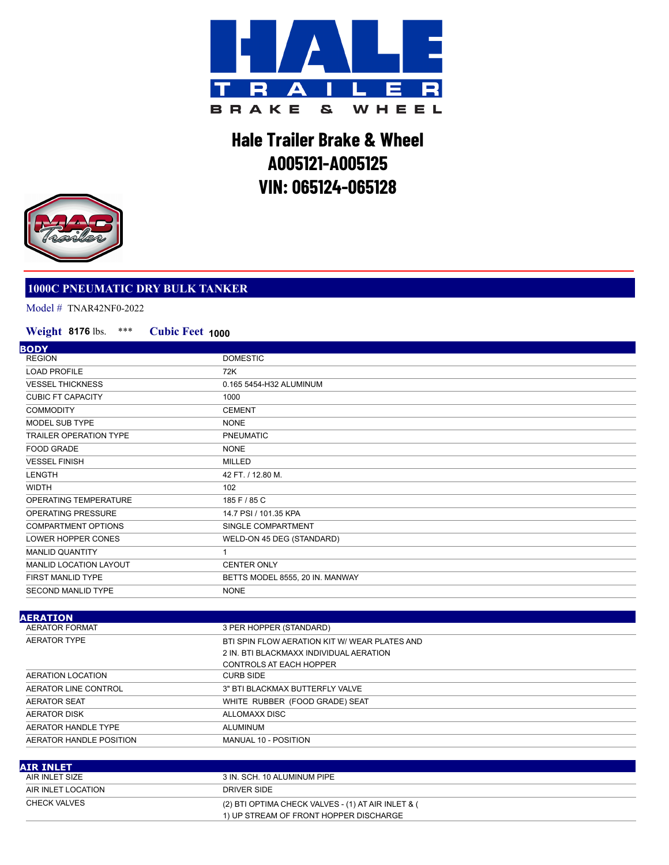

## **Hale Trailer Brake & Wheel A005121-A005125 VIN: 065124-065128**



## **1000C PNEUMATIC DRY BULK TANKER**

Model # TNAR42NF0-2022

## \*\*\* **Cubic Feet 1000 Weight 8176** lbs.

| <b>BODY</b>                   |                                 |
|-------------------------------|---------------------------------|
| <b>REGION</b>                 | <b>DOMESTIC</b>                 |
| <b>LOAD PROFILE</b>           | 72K                             |
| <b>VESSEL THICKNESS</b>       | 0.165 5454-H32 ALUMINUM         |
| <b>CUBIC FT CAPACITY</b>      | 1000                            |
| <b>COMMODITY</b>              | <b>CEMENT</b>                   |
| MODEL SUB TYPE                | <b>NONE</b>                     |
| <b>TRAILER OPERATION TYPE</b> | <b>PNEUMATIC</b>                |
| <b>FOOD GRADE</b>             | <b>NONE</b>                     |
| <b>VESSEL FINISH</b>          | <b>MILLED</b>                   |
| <b>LENGTH</b>                 | 42 FT. / 12.80 M.               |
| <b>WIDTH</b>                  | 102                             |
| OPERATING TEMPERATURE         | 185 F / 85 C                    |
| OPERATING PRESSURE            | 14.7 PSI / 101.35 KPA           |
| <b>COMPARTMENT OPTIONS</b>    | SINGLE COMPARTMENT              |
| LOWER HOPPER CONES            | WELD-ON 45 DEG (STANDARD)       |
| <b>MANLID QUANTITY</b>        |                                 |
| MANLID LOCATION LAYOUT        | <b>CENTER ONLY</b>              |
| <b>FIRST MANLID TYPE</b>      | BETTS MODEL 8555, 20 IN. MANWAY |
| <b>SECOND MANLID TYPE</b>     | <b>NONE</b>                     |
|                               |                                 |

| 3 PER HOPPER (STANDARD)                       |
|-----------------------------------------------|
| BTI SPIN FLOW AERATION KIT W/ WEAR PLATES AND |
| 2 IN. BTI BLACKMAXX INDIVIDUAL AERATION       |
| CONTROLS AT EACH HOPPER                       |
| <b>CURB SIDE</b>                              |
| 3" BTI BLACKMAX BUTTERFLY VALVE               |
| WHITE RUBBER (FOOD GRADE) SEAT                |
| ALLOMAXX DISC                                 |
| ALUMINUM                                      |
| MANUAL 10 - POSITION                          |
|                                               |

| AIR INLET          |                                                    |
|--------------------|----------------------------------------------------|
| AIR INLET SIZE     | 3 IN. SCH. 10 ALUMINUM PIPE                        |
| AIR INLET LOCATION | DRIVER SIDE                                        |
| CHECK VALVES       | (2) BTI OPTIMA CHECK VALVES - (1) AT AIR INLET & ( |
|                    | 1) UP STREAM OF FRONT HOPPER DISCHARGE             |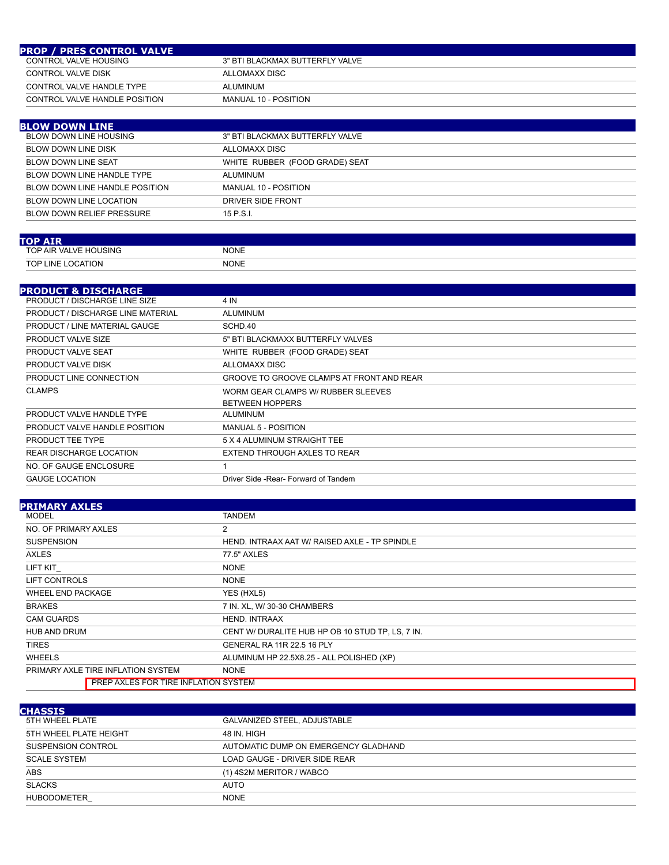| <b>PROP / PRES CONTROL VALVE</b> |                                 |
|----------------------------------|---------------------------------|
| CONTROL VALVE HOUSING            | 3" BTI BLACKMAX BUTTERFLY VALVE |
| CONTROL VALVE DISK               | ALLOMAXX DISC                   |
| CONTROL VALVE HANDLE TYPE        | ALUMINUM                        |
| CONTROL VALVE HANDLE POSITION    | MANUAL 10 - POSITION            |

| 3" BTI BLACKMAX BUTTERFLY VALVE |
|---------------------------------|
| ALLOMAXX DISC                   |
| WHITE RUBBER (FOOD GRADE) SEAT  |
| ALUMINUM                        |
| MANUAL 10 - POSITION            |
| DRIVER SIDE FRONT               |
| $15$ P.S.I.                     |
|                                 |

| <b>TOP AIR</b>                     |             |
|------------------------------------|-------------|
| AIR VALVE HOUSING<br><b>TOP</b>    | <b>NONE</b> |
| <b>TOP L</b><br>. LOCATION<br>.INE | <b>NONE</b> |

## **PRODUCT & DISCHARGE**

| FRODOGI G DISCHARGE                  |                                           |
|--------------------------------------|-------------------------------------------|
| <b>PRODUCT / DISCHARGE LINE SIZE</b> | 4 IN                                      |
| PRODUCT / DISCHARGE LINE MATERIAL    | ALUMINUM                                  |
| PRODUCT / LINE MATERIAL GAUGE        | SCHD.40                                   |
| PRODUCT VALVE SIZE                   | 5" BTI BLACKMAXX BUTTERFLY VALVES         |
| PRODUCT VALVE SEAT                   | WHITE RUBBER (FOOD GRADE) SEAT            |
| PRODUCT VALVE DISK                   | ALLOMAXX DISC                             |
| PRODUCT LINE CONNECTION              | GROOVE TO GROOVE CLAMPS AT FRONT AND REAR |
| <b>CLAMPS</b>                        | WORM GEAR CLAMPS W/ RUBBER SLEEVES        |
|                                      | <b>BETWEEN HOPPERS</b>                    |
| PRODUCT VALVE HANDLE TYPE            | ALUMINUM                                  |
| PRODUCT VALVE HANDLE POSITION        | <b>MANUAL 5 - POSITION</b>                |
| PRODUCT TEE TYPE                     | 5 X 4 ALUMINUM STRAIGHT TEE               |
| REAR DISCHARGE LOCATION              | EXTEND THROUGH AXLES TO REAR              |
| NO. OF GAUGE ENCLOSURE               |                                           |
| <b>GAUGE LOCATION</b>                | Driver Side - Rear - Forward of Tandem    |

| <b>PRIMARY AXLES</b>                        |                                                  |
|---------------------------------------------|--------------------------------------------------|
| MODEL                                       | TANDEM                                           |
| NO. OF PRIMARY AXLES                        | $\overline{2}$                                   |
| <b>SUSPENSION</b>                           | HEND. INTRAAX AAT W/ RAISED AXLE - TP SPINDLE    |
| <b>AXLES</b>                                | 77.5" AXLES                                      |
| LIFT KIT                                    | <b>NONE</b>                                      |
| LIFT CONTROLS                               | <b>NONE</b>                                      |
| <b>WHEEL END PACKAGE</b>                    | YES (HXL5)                                       |
| <b>BRAKES</b>                               | 7 IN. XL, W/ 30-30 CHAMBERS                      |
| <b>CAM GUARDS</b>                           | <b>HEND. INTRAAX</b>                             |
| <b>HUB AND DRUM</b>                         | CENT W/ DURALITE HUB HP OB 10 STUD TP, LS, 7 IN. |
| <b>TIRES</b>                                | <b>GENERAL RA 11R 22.5 16 PLY</b>                |
| <b>WHEELS</b>                               | ALUMINUM HP 22.5X8.25 - ALL POLISHED (XP)        |
| PRIMARY AXLE TIRE INFLATION SYSTEM          | <b>NONE</b>                                      |
| <b>PREP AXLES FOR TIRE INFLATION SYSTEM</b> |                                                  |

| <b>CHASSIS</b>         |                                      |
|------------------------|--------------------------------------|
| 5TH WHEEL PLATE        | GALVANIZED STEEL, ADJUSTABLE         |
| 5TH WHEEL PLATE HEIGHT | 48 IN. HIGH                          |
| SUSPENSION CONTROL     | AUTOMATIC DUMP ON EMERGENCY GLADHAND |
| <b>SCALE SYSTEM</b>    | LOAD GAUGE - DRIVER SIDE REAR        |
| <b>ABS</b>             | (1) 4S2M MERITOR / WABCO             |
| <b>SLACKS</b>          | <b>AUTO</b>                          |
| <b>HUBODOMETER</b>     | <b>NONE</b>                          |